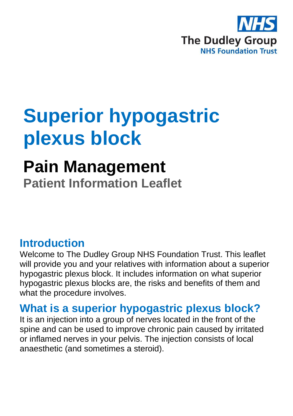

# **Superior hypogastric plexus block**

## **Pain Management Patient Information Leaflet**

### **Introduction**

Welcome to The Dudley Group NHS Foundation Trust. This leaflet will provide you and your relatives with information about a superior hypogastric plexus block. It includes information on what superior hypogastric plexus blocks are, the risks and benefits of them and what the procedure involves.

### **What is a superior hypogastric plexus block?**

It is an injection into a group of nerves located in the front of the spine and can be used to improve chronic pain caused by irritated or inflamed nerves in your pelvis. The injection consists of local anaesthetic (and sometimes a steroid).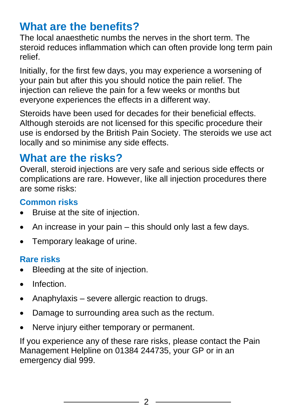### **What are the benefits?**

The local anaesthetic numbs the nerves in the short term. The steroid reduces inflammation which can often provide long term pain relief.

Initially, for the first few days, you may experience a worsening of your pain but after this you should notice the pain relief. The injection can relieve the pain for a few weeks or months but everyone experiences the effects in a different way.

Steroids have been used for decades for their beneficial effects. Although steroids are not licensed for this specific procedure their use is endorsed by the British Pain Society. The steroids we use act locally and so minimise any side effects.

### **What are the risks?**

Overall, steroid injections are very safe and serious side effects or complications are rare. However, like all injection procedures there are some risks:

#### **Common risks**

- Bruise at the site of injection.
- An increase in your pain this should only last a few days.
- Temporary leakage of urine.

### **Rare risks**

- Bleeding at the site of injection.
- Infection.
- Anaphylaxis severe allergic reaction to drugs.
- Damage to surrounding area such as the rectum.
- Nerve injury either temporary or permanent.

If you experience any of these rare risks, please contact the Pain Management Helpline on 01384 244735, your GP or in an emergency dial 999.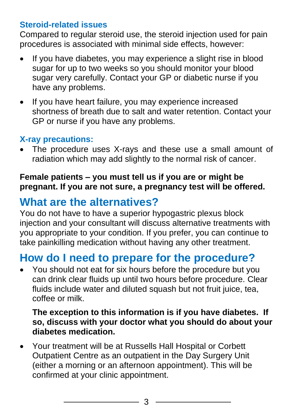#### **Steroid-related issues**

Compared to regular steroid use, the steroid injection used for pain procedures is associated with minimal side effects, however:

- If you have diabetes, you may experience a slight rise in blood sugar for up to two weeks so you should monitor your blood sugar very carefully. Contact your GP or diabetic nurse if you have any problems.
- If you have heart failure, you may experience increased shortness of breath due to salt and water retention. Contact your GP or nurse if you have any problems.

### **X-ray precautions:**

The procedure uses X-rays and these use a small amount of radiation which may add slightly to the normal risk of cancer.

#### **Female patients – you must tell us if you are or might be pregnant. If you are not sure, a pregnancy test will be offered.**

### **What are the alternatives?**

You do not have to have a superior hypogastric plexus block injection and your consultant will discuss alternative treatments with you appropriate to your condition. If you prefer, you can continue to take painkilling medication without having any other treatment.

### **How do I need to prepare for the procedure?**

• You should not eat for six hours before the procedure but you can drink clear fluids up until two hours before procedure. Clear fluids include water and diluted squash but not fruit juice, tea, coffee or milk.

#### **The exception to this information is if you have diabetes. If so, discuss with your doctor what you should do about your diabetes medication.**

• Your treatment will be at Russells Hall Hospital or Corbett Outpatient Centre as an outpatient in the Day Surgery Unit (either a morning or an afternoon appointment). This will be confirmed at your clinic appointment.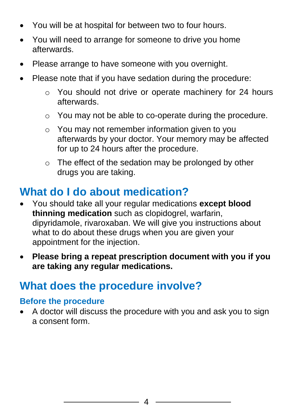- You will be at hospital for between two to four hours.
- You will need to arrange for someone to drive you home afterwards.
- Please arrange to have someone with you overnight.
- Please note that if you have sedation during the procedure:
	- o You should not drive or operate machinery for 24 hours afterwards.
	- o You may not be able to co-operate during the procedure.
	- o You may not remember information given to you afterwards by your doctor. Your memory may be affected for up to 24 hours after the procedure.
	- o The effect of the sedation may be prolonged by other drugs you are taking.

### **What do I do about medication?**

- You should take all your regular medications **except blood thinning medication** such as clopidogrel, warfarin, dipyridamole, rivaroxaban. We will give you instructions about what to do about these drugs when you are given your appointment for the injection.
- **Please bring a repeat prescription document with you if you are taking any regular medications.**

### **What does the procedure involve?**

#### **Before the procedure**

• A doctor will discuss the procedure with you and ask you to sign a consent form.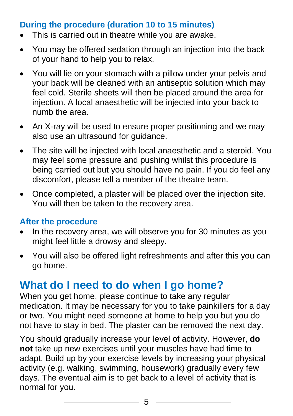#### **During the procedure (duration 10 to 15 minutes)**

- This is carried out in theatre while you are awake.
- You may be offered sedation through an injection into the back of your hand to help you to relax.
- You will lie on your stomach with a pillow under your pelvis and your back will be cleaned with an antiseptic solution which may feel cold. Sterile sheets will then be placed around the area for injection. A local anaesthetic will be injected into your back to numb the area.
- An X-ray will be used to ensure proper positioning and we may also use an ultrasound for guidance.
- The site will be injected with local anaesthetic and a steroid. You may feel some pressure and pushing whilst this procedure is being carried out but you should have no pain. If you do feel any discomfort, please tell a member of the theatre team.
- Once completed, a plaster will be placed over the injection site. You will then be taken to the recovery area.

#### **After the procedure**

- In the recovery area, we will observe you for 30 minutes as you might feel little a drowsy and sleepy.
- You will also be offered light refreshments and after this you can go home.

### **What do I need to do when I go home?**

When you get home, please continue to take any regular medication. It may be necessary for you to take painkillers for a day or two. You might need someone at home to help you but you do not have to stay in bed. The plaster can be removed the next day.

You should gradually increase your level of activity. However, **do not** take up new exercises until your muscles have had time to adapt. Build up by your exercise levels by increasing your physical activity (e.g. walking, swimming, housework) gradually every few days. The eventual aim is to get back to a level of activity that is normal for you.